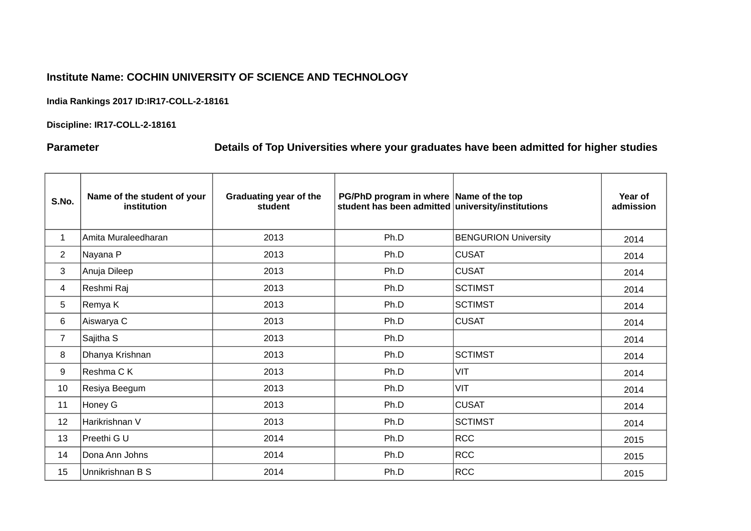## **Institute Name: COCHIN UNIVERSITY OF SCIENCE AND TECHNOLOGY**

**India Rankings 2017 ID:IR17-COLL-2-18161** 

## **Discipline: IR17-COLL-2-18161**

## **Parameter Details of Top Universities where your graduates have been admitted for higher studies**

| S.No.          | Name of the student of your<br>institution | Graduating year of the<br>student | PG/PhD program in where Name of the top<br>student has been admitted university/institutions |                             | Year of<br>admission |
|----------------|--------------------------------------------|-----------------------------------|----------------------------------------------------------------------------------------------|-----------------------------|----------------------|
| 1              | Amita Muraleedharan                        | 2013                              | Ph.D                                                                                         | <b>BENGURION University</b> | 2014                 |
| $\overline{c}$ | Nayana P                                   | 2013                              | Ph.D                                                                                         | <b>CUSAT</b>                | 2014                 |
| 3              | Anuja Dileep                               | 2013                              | Ph.D                                                                                         | <b>CUSAT</b>                | 2014                 |
| 4              | Reshmi Raj                                 | 2013                              | Ph.D                                                                                         | <b>SCTIMST</b>              | 2014                 |
| 5              | Remya K                                    | 2013                              | Ph.D                                                                                         | <b>SCTIMST</b>              | 2014                 |
| 6              | Aiswarya C                                 | 2013                              | Ph.D                                                                                         | <b>CUSAT</b>                | 2014                 |
| $\overline{7}$ | Sajitha <sub>S</sub>                       | 2013                              | Ph.D                                                                                         |                             | 2014                 |
| 8              | Dhanya Krishnan                            | 2013                              | Ph.D                                                                                         | <b>SCTIMST</b>              | 2014                 |
| 9              | Reshma C K                                 | 2013                              | Ph.D                                                                                         | VIT                         | 2014                 |
| 10             | Resiya Beegum                              | 2013                              | Ph.D                                                                                         | VIT                         | 2014                 |
| 11             | Honey G                                    | 2013                              | Ph.D                                                                                         | <b>CUSAT</b>                | 2014                 |
| 12             | Harikrishnan V                             | 2013                              | Ph.D                                                                                         | <b>SCTIMST</b>              | 2014                 |
| 13             | Preethi G U                                | 2014                              | Ph.D                                                                                         | <b>RCC</b>                  | 2015                 |
| 14             | Dona Ann Johns                             | 2014                              | Ph.D                                                                                         | <b>RCC</b>                  | 2015                 |
| 15             | Unnikrishnan B S                           | 2014                              | Ph.D                                                                                         | <b>RCC</b>                  | 2015                 |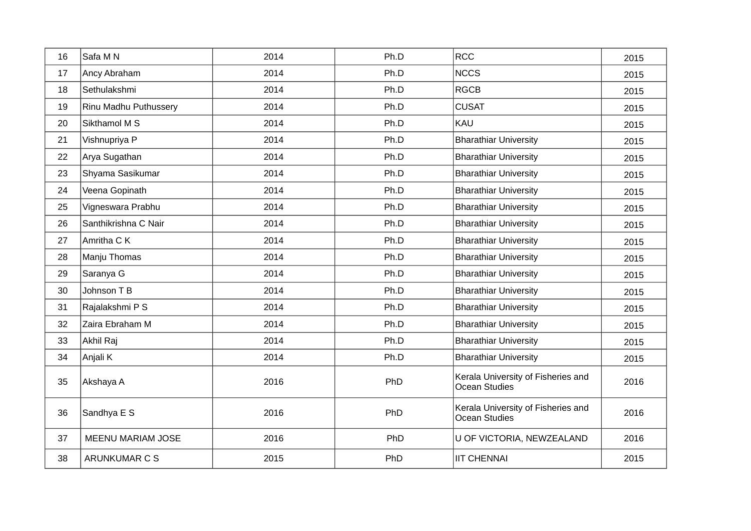| 16 | Safa M N              | 2014 | Ph.D | <b>RCC</b>                                          | 2015 |
|----|-----------------------|------|------|-----------------------------------------------------|------|
| 17 | Ancy Abraham          | 2014 | Ph.D | <b>NCCS</b>                                         | 2015 |
| 18 | Sethulakshmi          | 2014 | Ph.D | <b>RGCB</b>                                         | 2015 |
| 19 | Rinu Madhu Puthussery | 2014 | Ph.D | <b>CUSAT</b>                                        | 2015 |
| 20 | Sikthamol M S         | 2014 | Ph.D | KAU                                                 | 2015 |
| 21 | Vishnupriya P         | 2014 | Ph.D | <b>Bharathiar University</b>                        | 2015 |
| 22 | Arya Sugathan         | 2014 | Ph.D | <b>Bharathiar University</b>                        | 2015 |
| 23 | Shyama Sasikumar      | 2014 | Ph.D | <b>Bharathiar University</b>                        | 2015 |
| 24 | Veena Gopinath        | 2014 | Ph.D | <b>Bharathiar University</b>                        | 2015 |
| 25 | Vigneswara Prabhu     | 2014 | Ph.D | <b>Bharathiar University</b>                        | 2015 |
| 26 | Santhikrishna C Nair  | 2014 | Ph.D | <b>Bharathiar University</b>                        | 2015 |
| 27 | Amritha C K           | 2014 | Ph.D | <b>Bharathiar University</b>                        | 2015 |
| 28 | Manju Thomas          | 2014 | Ph.D | <b>Bharathiar University</b>                        | 2015 |
| 29 | Saranya G             | 2014 | Ph.D | <b>Bharathiar University</b>                        | 2015 |
| 30 | Johnson T B           | 2014 | Ph.D | <b>Bharathiar University</b>                        | 2015 |
| 31 | Rajalakshmi P S       | 2014 | Ph.D | <b>Bharathiar University</b>                        | 2015 |
| 32 | Zaira Ebraham M       | 2014 | Ph.D | <b>Bharathiar University</b>                        | 2015 |
| 33 | Akhil Raj             | 2014 | Ph.D | <b>Bharathiar University</b>                        | 2015 |
| 34 | Anjali K              | 2014 | Ph.D | <b>Bharathiar University</b>                        | 2015 |
| 35 | Akshaya A             | 2016 | PhD  | Kerala University of Fisheries and<br>Ocean Studies | 2016 |
| 36 | Sandhya E S           | 2016 | PhD  | Kerala University of Fisheries and<br>Ocean Studies | 2016 |
| 37 | MEENU MARIAM JOSE     | 2016 | PhD  | U OF VICTORIA, NEWZEALAND                           | 2016 |
| 38 | <b>ARUNKUMAR C S</b>  | 2015 | PhD  | <b>IIT CHENNAI</b>                                  | 2015 |